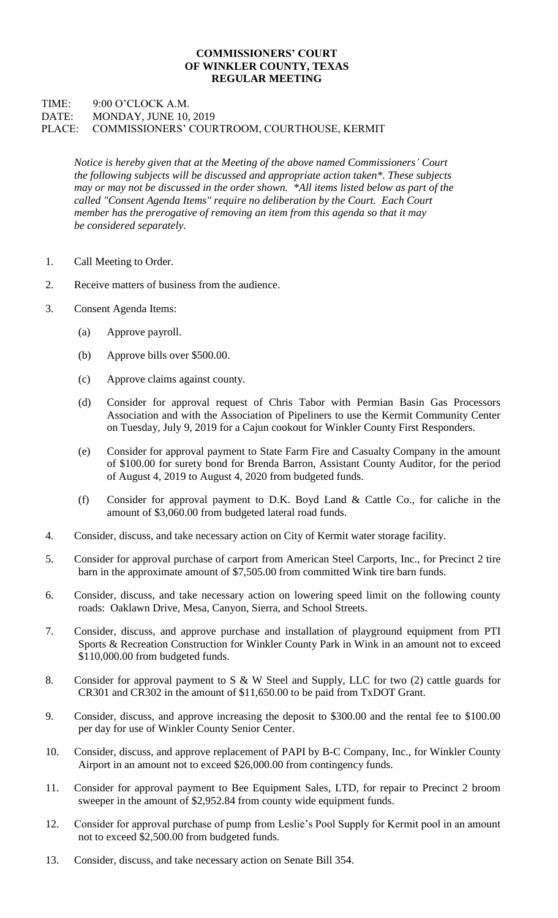## **COMMISSIONERS' COURT OF WINKLER COUNTY, TEXAS REGULAR MEETING**

## TIME: 9:00 O'CLOCK A.M. DATE: MONDAY, JUNE 10, 2019 PLACE: COMMISSIONERS' COURTROOM, COURTHOUSE, KERMIT

*Notice is hereby given that at the Meeting of the above named Commissioners' Court the following subjects will be discussed and appropriate action taken\*. These subjects may or may not be discussed in the order shown. \*All items listed below as part of the called "Consent Agenda Items" require no deliberation by the Court. Each Court member has the prerogative of removing an item from this agenda so that it may be considered separately.*

- 1. Call Meeting to Order.
- 2. Receive matters of business from the audience.
- 3. Consent Agenda Items:
	- (a) Approve payroll.
	- (b) Approve bills over \$500.00.
	- (c) Approve claims against county.
	- (d) Consider for approval request of Chris Tabor with Permian Basin Gas Processors Association and with the Association of Pipeliners to use the Kermit Community Center on Tuesday, July 9, 2019 for a Cajun cookout for Winkler County First Responders.
	- (e) Consider for approval payment to State Farm Fire and Casualty Company in the amount of \$100.00 for surety bond for Brenda Barron, Assistant County Auditor, for the period of August 4, 2019 to August 4, 2020 from budgeted funds.
	- (f) Consider for approval payment to D.K. Boyd Land & Cattle Co., for caliche in the amount of \$3,060.00 from budgeted lateral road funds.
- 4. Consider, discuss, and take necessary action on City of Kermit water storage facility.
- 5. Consider for approval purchase of carport from American Steel Carports, Inc., for Precinct 2 tire barn in the approximate amount of \$7,505.00 from committed Wink tire barn funds.
- 6. Consider, discuss, and take necessary action on lowering speed limit on the following county roads: Oaklawn Drive, Mesa, Canyon, Sierra, and School Streets.
- 7. Consider, discuss, and approve purchase and installation of playground equipment from PTI Sports & Recreation Construction for Winkler County Park in Wink in an amount not to exceed \$110,000.00 from budgeted funds.
- 8. Consider for approval payment to S & W Steel and Supply, LLC for two (2) cattle guards for CR301 and CR302 in the amount of \$11,650.00 to be paid from TxDOT Grant.
- 9. Consider, discuss, and approve increasing the deposit to \$300.00 and the rental fee to \$100.00 per day for use of Winkler County Senior Center.
- 10. Consider, discuss, and approve replacement of PAPI by B-C Company, Inc., for Winkler County Airport in an amount not to exceed \$26,000.00 from contingency funds.
- 11. Consider for approval payment to Bee Equipment Sales, LTD, for repair to Precinct 2 broom sweeper in the amount of \$2,952.84 from county wide equipment funds.
- 12. Consider for approval purchase of pump from Leslie's Pool Supply for Kermit pool in an amount not to exceed \$2,500.00 from budgeted funds.
- 13. Consider, discuss, and take necessary action on Senate Bill 354.